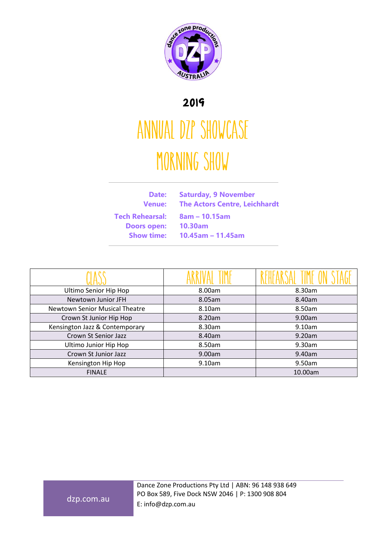

## 2019

## ANNUAL DZP SHOWCASE MORNING SHOW

| Date:<br>Venue: I      | <b>Saturday, 9 November</b><br><b>The Actors Centre, Leichhardt</b> |
|------------------------|---------------------------------------------------------------------|
| <b>Tech Rehearsal:</b> | $8am - 10.15am$                                                     |
| <b>Doors open:</b>     | <b>10.30am</b>                                                      |
| <b>Show time:</b>      | $10.45$ am - 11.45am                                                |
|                        |                                                                     |

| Ultimo Senior Hip Hop          | 8.00am | 8.30am  |
|--------------------------------|--------|---------|
| Newtown Junior JFH             | 8.05am | 8.40am  |
| Newtown Senior Musical Theatre | 8.10am | 8.50am  |
| Crown St Junior Hip Hop        | 8.20am | 9.00am  |
| Kensington Jazz & Contemporary | 8.30am | 9.10am  |
| Crown St Senior Jazz           | 8.40am | 9.20am  |
| Ultimo Junior Hip Hop          | 8.50am | 9.30am  |
| Crown St Junior Jazz           | 9.00am | 9.40am  |
| Kensington Hip Hop             | 9.10am | 9.50am  |
| <b>FINALE</b>                  |        | 10.00am |

dzp.com.au

Dance Zone Productions Pty Ltd | ABN: 96 148 938 649 PO Box 589, Five Dock NSW 2046 | P: 1300 908 804 E: info@dzp.com.au